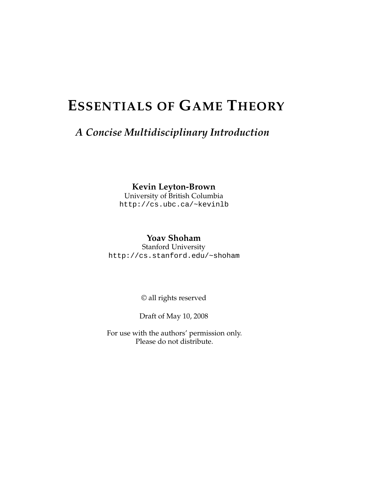# **ESSENTIALS OF GAME THEORY**

### *A Concise Multidisciplinary Introduction*

#### **Kevin Leyton-Brown**

University of British Columbia <http://cs.ubc.ca/~kevinlb>

### **Yoav Shoham**

Stanford University <http://cs.stanford.edu/~shoham>

© all rights reserved

Draft of May 10, 2008

For use with the authors' permission only. Please do not distribute.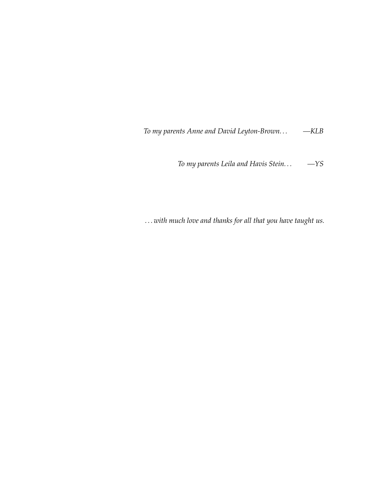*To my parents Anne and David Leyton-Brown. . . —KLB*

*To my parents Leila and Havis Stein. . . —YS*

*. . . with much love and thanks for all that you have taught us.*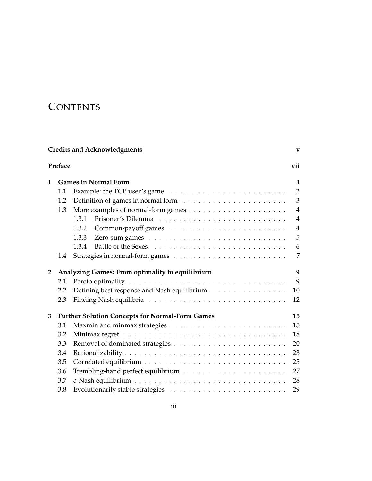## **CONTENTS**

| <b>Credits and Acknowledgments</b> |     |                                                                                        |                |
|------------------------------------|-----|----------------------------------------------------------------------------------------|----------------|
| Preface<br>vii                     |     |                                                                                        |                |
| 1                                  |     | <b>Games in Normal Form</b>                                                            | 1              |
|                                    | 1.1 | Example: the TCP user's game $\ldots \ldots \ldots \ldots \ldots \ldots \ldots \ldots$ | $\overline{2}$ |
|                                    | 1.2 |                                                                                        | 3              |
|                                    | 1.3 |                                                                                        | $\overline{4}$ |
|                                    |     | 1.3.1                                                                                  | $\overline{4}$ |
|                                    |     | 1.3.2                                                                                  | $\overline{4}$ |
|                                    |     | 1.3.3                                                                                  | 5              |
|                                    |     | 1.3.4                                                                                  | 6              |
|                                    | 1.4 |                                                                                        | 7              |
| $\mathbf{2}$                       |     | Analyzing Games: From optimality to equilibrium                                        | 9              |
|                                    | 2.1 |                                                                                        | 9              |
|                                    | 2.2 | Defining best response and Nash equilibrium                                            | 10             |
|                                    | 2.3 |                                                                                        | 12             |
| 3                                  |     | <b>Further Solution Concepts for Normal-Form Games</b>                                 | 15             |
|                                    | 3.1 |                                                                                        | 15             |
|                                    | 3.2 |                                                                                        | 18             |
|                                    | 3.3 |                                                                                        | 20             |
|                                    | 3.4 |                                                                                        | 23             |
|                                    | 3.5 |                                                                                        | 25             |
|                                    | 3.6 |                                                                                        | 27             |
|                                    | 3.7 |                                                                                        | 28             |
|                                    | 3.8 |                                                                                        | 29             |